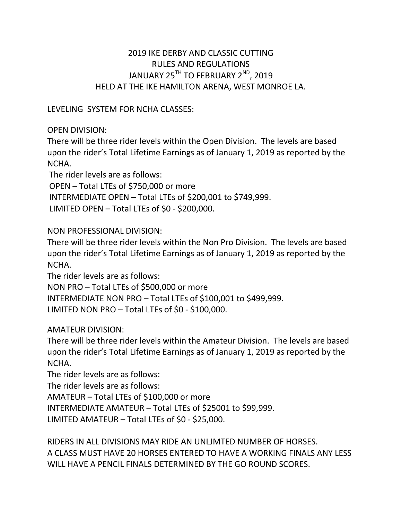# 2019 IKE DERBY AND CLASSIC CUTTING RULES AND REGULATIONS JANUARY 25<sup>TH</sup> TO FEBRUARY 2<sup>ND</sup>, 2019 HELD AT THE IKE HAMILTON ARENA, WEST MONROE LA.

## LEVELING SYSTEM FOR NCHA CLASSES:

## OPEN DIVISION:

There will be three rider levels within the Open Division. The levels are based upon the rider's Total Lifetime Earnings as of January 1, 2019 as reported by the NCHA.

 The rider levels are as follows: OPEN – Total LTEs of \$750,000 or more INTERMEDIATE OPEN – Total LTEs of \$200,001 to \$749,999. LIMITED OPEN – Total LTEs of \$0 - \$200,000.

## NON PROFESSIONAL DIVISION:

There will be three rider levels within the Non Pro Division. The levels are based upon the rider's Total Lifetime Earnings as of January 1, 2019 as reported by the NCHA.

The rider levels are as follows:

NON PRO – Total LTEs of \$500,000 or more INTERMEDIATE NON PRO – Total LTEs of \$100,001 to \$499,999. LIMITED NON PRO – Total LTEs of \$0 - \$100,000.

# AMATEUR DIVISION:

There will be three rider levels within the Amateur Division. The levels are based upon the rider's Total Lifetime Earnings as of January 1, 2019 as reported by the NCHA.

The rider levels are as follows:

The rider levels are as follows:

AMATEUR – Total LTEs of \$100,000 or more

INTERMEDIATE AMATEUR – Total LTEs of \$25001 to \$99,999.

LIMITED AMATEUR – Total LTEs of \$0 - \$25,000.

RIDERS IN ALL DIVISIONS MAY RIDE AN UNLJMTED NUMBER OF HORSES. A CLASS MUST HAVE 20 HORSES ENTERED TO HAVE A WORKING FINALS ANY LESS WILL HAVE A PENCIL FINALS DETERMINED BY THE GO ROUND SCORES.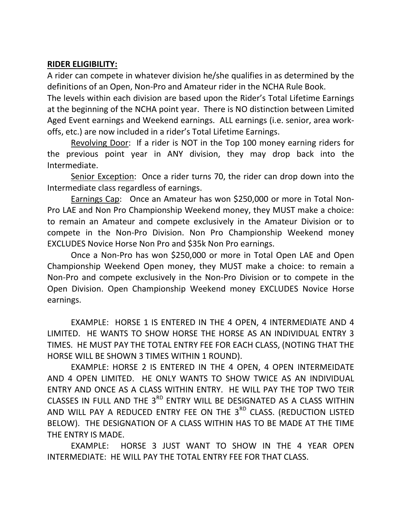#### RIDER ELIGIBILITY:

A rider can compete in whatever division he/she qualifies in as determined by the definitions of an Open, Non-Pro and Amateur rider in the NCHA Rule Book.

The levels within each division are based upon the Rider's Total Lifetime Earnings at the beginning of the NCHA point year. There is NO distinction between Limited Aged Event earnings and Weekend earnings. ALL earnings (i.e. senior, area workoffs, etc.) are now included in a rider's Total Lifetime Earnings.

 Revolving Door: If a rider is NOT in the Top 100 money earning riders for the previous point year in ANY division, they may drop back into the Intermediate.

Senior Exception: Once a rider turns 70, the rider can drop down into the Intermediate class regardless of earnings.

Earnings Cap: Once an Amateur has won \$250,000 or more in Total Non-Pro LAE and Non Pro Championship Weekend money, they MUST make a choice: to remain an Amateur and compete exclusively in the Amateur Division or to compete in the Non-Pro Division. Non Pro Championship Weekend money EXCLUDES Novice Horse Non Pro and \$35k Non Pro earnings.

Once a Non-Pro has won \$250,000 or more in Total Open LAE and Open Championship Weekend Open money, they MUST make a choice: to remain a Non-Pro and compete exclusively in the Non-Pro Division or to compete in the Open Division. Open Championship Weekend money EXCLUDES Novice Horse earnings.

EXAMPLE: HORSE 1 IS ENTERED IN THE 4 OPEN, 4 INTERMEDIATE AND 4 LIMITED. HE WANTS TO SHOW HORSE THE HORSE AS AN INDIVIDUAL ENTRY 3 TIMES. HE MUST PAY THE TOTAL ENTRY FEE FOR EACH CLASS, (NOTING THAT THE HORSE WILL BE SHOWN 3 TIMES WITHIN 1 ROUND).

EXAMPLE: HORSE 2 IS ENTERED IN THE 4 OPEN, 4 OPEN INTERMEIDATE AND 4 OPEN LIMITED. HE ONLY WANTS TO SHOW TWICE AS AN INDIVIDUAL ENTRY AND ONCE AS A CLASS WITHIN ENTRY. HE WILL PAY THE TOP TWO TEIR CLASSES IN FULL AND THE 3<sup>RD</sup> ENTRY WILL BE DESIGNATED AS A CLASS WITHIN AND WILL PAY A REDUCED ENTRY FEE ON THE 3<sup>RD</sup> CLASS. (REDUCTION LISTED BELOW). THE DESIGNATION OF A CLASS WITHIN HAS TO BE MADE AT THE TIME THE ENTRY IS MADE.

EXAMPLE: HORSE 3 JUST WANT TO SHOW IN THE 4 YEAR OPEN INTERMEDIATE: HE WILL PAY THE TOTAL ENTRY FEE FOR THAT CLASS.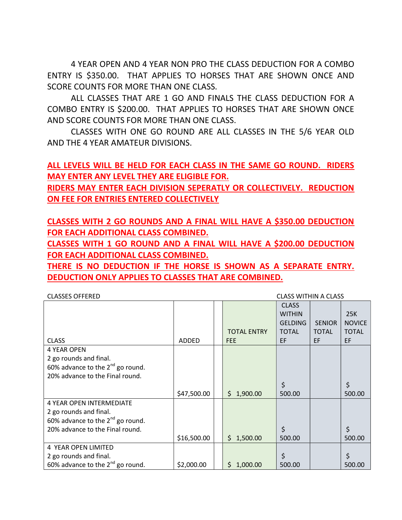4 YEAR OPEN AND 4 YEAR NON PRO THE CLASS DEDUCTION FOR A COMBO ENTRY IS \$350.00. THAT APPLIES TO HORSES THAT ARE SHOWN ONCE AND SCORE COUNTS FOR MORE THAN ONE CLASS.

ALL CLASSES THAT ARE 1 GO AND FINALS THE CLASS DEDUCTION FOR A COMBO ENTRY IS \$200.00. THAT APPLIES TO HORSES THAT ARE SHOWN ONCE AND SCORE COUNTS FOR MORE THAN ONE CLASS.

CLASSES WITH ONE GO ROUND ARE ALL CLASSES IN THE 5/6 YEAR OLD AND THE 4 YEAR AMATEUR DIVISIONS.

ALL LEVELS WILL BE HELD FOR EACH CLASS IN THE SAME GO ROUND. RIDERS MAY ENTER ANY LEVEL THEY ARE ELIGIBLE FOR.

RIDERS MAY ENTER EACH DIVISION SEPERATLY OR COLLECTIVELY. REDUCTION ON FEE FOR ENTRIES ENTERED COLLECTIVELY

CLASSES WITH 2 GO ROUNDS AND A FINAL WILL HAVE A \$350.00 DEDUCTION FOR EACH ADDITIONAL CLASS COMBINED.

CLASSES WITH 1 GO ROUND AND A FINAL WILL HAVE A \$200.00 DEDUCTION FOR EACH ADDITIONAL CLASS COMBINED.

THERE IS NO DEDUCTION IF THE HORSE IS SHOWN AS A SEPARATE ENTRY. DEDUCTION ONLY APPLIES TO CLASSES THAT ARE COMBINED.

| <b>CLASS WITHIN A CLASS</b><br><b>CLASSES OFFERED</b> |             |  |                                  |                                                                       |                                     |                                                   |
|-------------------------------------------------------|-------------|--|----------------------------------|-----------------------------------------------------------------------|-------------------------------------|---------------------------------------------------|
| <b>CLASS</b>                                          | ADDED       |  | <b>TOTAL ENTRY</b><br><b>FEE</b> | <b>CLASS</b><br><b>WITHIN</b><br><b>GELDING</b><br><b>TOTAL</b><br>EF | <b>SENIOR</b><br><b>TOTAL</b><br>EF | 25K<br><b>NOVICE</b><br><b>TOTAL</b><br><b>EF</b> |
| <b>4 YEAR OPEN</b>                                    |             |  |                                  |                                                                       |                                     |                                                   |
| 2 go rounds and final.                                |             |  |                                  |                                                                       |                                     |                                                   |
| 60% advance to the $2^{nd}$ go round.                 |             |  |                                  |                                                                       |                                     |                                                   |
| 20% advance to the Final round.                       |             |  |                                  |                                                                       |                                     |                                                   |
|                                                       |             |  |                                  | \$                                                                    |                                     | \$                                                |
|                                                       | \$47,500.00 |  | \$1,900.00                       | 500.00                                                                |                                     | 500.00                                            |
| <b>4 YEAR OPEN INTERMEDIATE</b>                       |             |  |                                  |                                                                       |                                     |                                                   |
| 2 go rounds and final.                                |             |  |                                  |                                                                       |                                     |                                                   |
| 60% advance to the $2^{nd}$ go round.                 |             |  |                                  |                                                                       |                                     |                                                   |
| 20% advance to the Final round.                       |             |  |                                  | \$                                                                    |                                     | \$                                                |
|                                                       | \$16,500.00 |  | \$1,500.00                       | 500.00                                                                |                                     | 500.00                                            |
| 4 YEAR OPEN LIMITED                                   |             |  |                                  |                                                                       |                                     |                                                   |
| 2 go rounds and final.                                |             |  |                                  | \$                                                                    |                                     | \$                                                |
| 60% advance to the $2^{nd}$ go round.                 | \$2,000.00  |  | \$1,000.00                       | 500.00                                                                |                                     | 500.00                                            |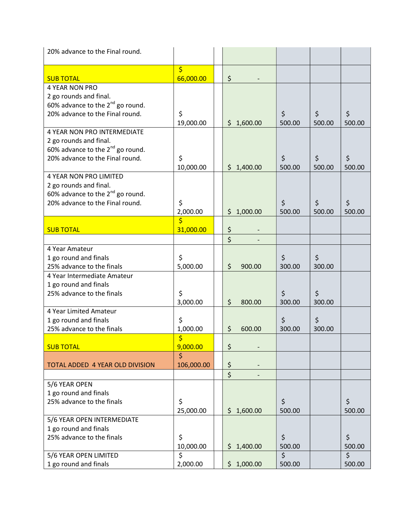| 20% advance to the Final round.       |                         |                   |                              |         |              |
|---------------------------------------|-------------------------|-------------------|------------------------------|---------|--------------|
|                                       | $\overline{\mathsf{S}}$ |                   |                              |         |              |
| <b>SUB TOTAL</b>                      | 66,000.00               | \$                |                              |         |              |
| <b>4 YEAR NON PRO</b>                 |                         |                   |                              |         |              |
| 2 go rounds and final.                |                         |                   |                              |         |              |
| 60% advance to the $2^{nd}$ go round. |                         |                   |                              |         |              |
| 20% advance to the Final round.       | \$                      |                   | \$                           | \$      | $\zeta$      |
|                                       | 19,000.00               | \$1,600.00        | 500.00                       | 500.00  | 500.00       |
| <b>4 YEAR NON PRO INTERMEDIATE</b>    |                         |                   |                              |         |              |
| 2 go rounds and final.                |                         |                   |                              |         |              |
| 60% advance to the $2^{nd}$ go round. |                         |                   |                              |         |              |
| 20% advance to the Final round.       | \$                      |                   | \$                           | $\zeta$ | \$           |
|                                       | 10,000.00               | \$1,400.00        | 500.00                       | 500.00  | 500.00       |
| <b>4 YEAR NON PRO LIMITED</b>         |                         |                   |                              |         |              |
| 2 go rounds and final.                |                         |                   |                              |         |              |
| 60% advance to the $2^{nd}$ go round. |                         |                   |                              |         |              |
| 20% advance to the Final round.       | \$                      |                   | \$                           | \$      | \$           |
|                                       | 2,000.00<br>\$          | \$1,000.00        | 500.00                       | 500.00  | 500.00       |
| <b>SUB TOTAL</b>                      | 31,000.00               | \$                |                              |         |              |
|                                       |                         | \$                |                              |         |              |
| 4 Year Amateur                        |                         |                   |                              |         |              |
| 1 go round and finals                 | \$                      |                   | \$                           | \$      |              |
| 25% advance to the finals             | 5,000.00                | \$<br>900.00      | 300.00                       | 300.00  |              |
| 4 Year Intermediate Amateur           |                         |                   |                              |         |              |
| 1 go round and finals                 |                         |                   |                              |         |              |
| 25% advance to the finals             | \$                      |                   | \$                           | $\zeta$ |              |
|                                       | 3,000.00                | $\zeta$<br>800.00 | 300.00                       | 300.00  |              |
| 4 Year Limited Amateur                |                         |                   |                              |         |              |
| 1 go round and finals                 | \$                      |                   | \$                           | \$      |              |
| 25% advance to the finals             | 1,000.00                | \$<br>600.00      | 300.00                       | 300.00  |              |
|                                       | \$                      |                   |                              |         |              |
| <b>SUB TOTAL</b>                      | 9,000.00                | \$                |                              |         |              |
|                                       | $\dot{\mathsf{S}}$      |                   |                              |         |              |
| TOTAL ADDED 4 YEAR OLD DIVISION       | 106,000.00              | \$                |                              |         |              |
|                                       |                         | \$                |                              |         |              |
| 5/6 YEAR OPEN                         |                         |                   |                              |         |              |
| 1 go round and finals                 |                         |                   |                              |         |              |
| 25% advance to the finals             | \$                      |                   | \$                           |         | $\zeta$      |
|                                       | 25,000.00               | \$1,600.00        | 500.00                       |         | 500.00       |
| 5/6 YEAR OPEN INTERMEDIATE            |                         |                   |                              |         |              |
| 1 go round and finals                 |                         |                   |                              |         |              |
| 25% advance to the finals             | \$                      |                   | \$                           |         | \$           |
|                                       | 10,000.00<br>\$         | \$1,400.00        | 500.00<br>$\mathsf{\dot{S}}$ |         | 500.00<br>\$ |
| 5/6 YEAR OPEN LIMITED                 |                         |                   |                              |         |              |
| 1 go round and finals                 | 2,000.00                | \$1,000.00        | 500.00                       |         | 500.00       |